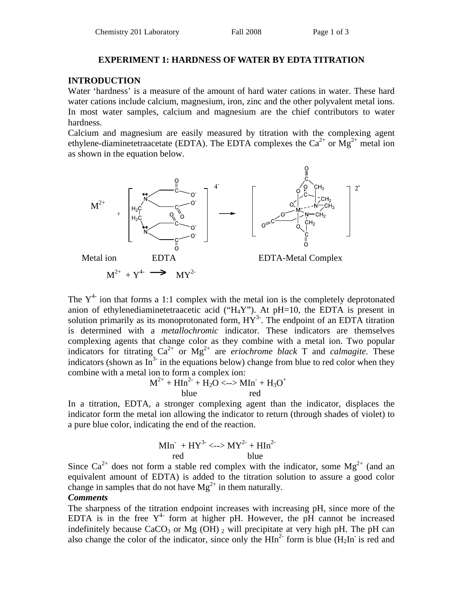#### **EXPERIMENT 1: HARDNESS OF WATER BY EDTA TITRATION**

### **INTRODUCTION**

Water 'hardness' is a measure of the amount of hard water cations in water. These hard water cations include calcium, magnesium, iron, zinc and the other polyvalent metal ions. In most water samples, calcium and magnesium are the chief contributors to water hardness.

Calcium and magnesium are easily measured by titration with the complexing agent ethylene-diaminetetraacetate (EDTA). The EDTA complexes the  $Ca^{2+}$  or  $Mg^{2+}$  metal ion as shown in the equation below.



The  $Y<sup>4</sup>$  ion that forms a 1:1 complex with the metal ion is the completely deprotonated anion of ethylenediaminetetraacetic acid (" $H_4Y$ "). At pH=10, the EDTA is present in solution primarily as its monoprotonated form,  $HY^3$ . The endpoint of an EDTA titration is determined with a *metallochromic* indicator. These indicators are themselves complexing agents that change color as they combine with a metal ion. Two popular indicators for titrating  $Ca^{2+}$  or  $Mg^{2+}$  are *eriochrome black* T and *calmagite*. These indicators (shown as  $\overline{\text{In}}^{3}$  in the equations below) change from blue to red color when they combine with a metal ion to form a complex ion:

$$
M^{2+} + HIn^{2-} + H_2O \le -\gg MIn + H_3O^+
$$
  
blue red

In a titration, EDTA, a stronger complexing agent than the indicator, displaces the indicator form the metal ion allowing the indicator to return (through shades of violet) to a pure blue color, indicating the end of the reaction.

$$
MIn^+ + HY^{3-} \lt \to MY^{2+} + HIn^{2-}
$$
red blue

Since  $Ca^{2+}$  does not form a stable red complex with the indicator, some  $Mg^{2+}$  (and an equivalent amount of EDTA) is added to the titration solution to assure a good color change in samples that do not have  $Mg^{2+}$  in them naturally.

#### *Comments*

The sharpness of the titration endpoint increases with increasing pH, since more of the EDTA is in the free  $Y^4$  form at higher pH. However, the pH cannot be increased indefinitely because CaCO<sub>3</sub> or Mg (OH)  $_2$  will precipitate at very high pH. The pH can also change the color of the indicator, since only the  $\text{HIn}^{2-}$  form is blue (H<sub>2</sub>In<sup>-</sup> is red and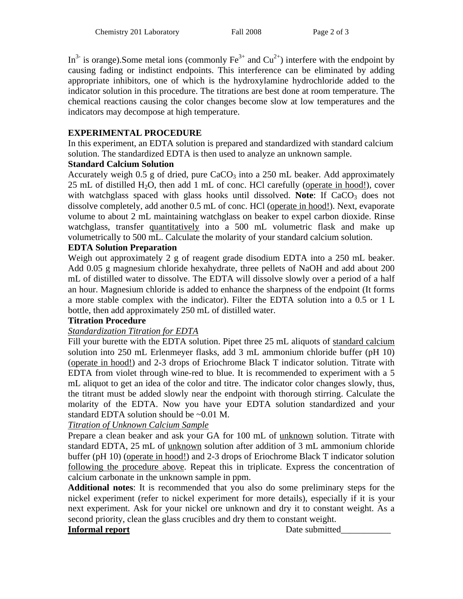In<sup>3-</sup> is orange).Some metal ions (commonly  $Fe^{3+}$  and  $Cu^{2+}$ ) interfere with the endpoint by causing fading or indistinct endpoints. This interference can be eliminated by adding appropriate inhibitors, one of which is the hydroxylamine hydrochloride added to the indicator solution in this procedure. The titrations are best done at room temperature. The chemical reactions causing the color changes become slow at low temperatures and the indicators may decompose at high temperature.

# **EXPERIMENTAL PROCEDURE**

In this experiment, an EDTA solution is prepared and standardized with standard calcium solution. The standardized EDTA is then used to analyze an unknown sample.

# **Standard Calcium Solution**

Accurately weigh 0.5 g of dried, pure  $CaCO<sub>3</sub>$  into a 250 mL beaker. Add approximately 25 mL of distilled  $H_2O$ , then add 1 mL of conc. HCl carefully (operate in hood!), cover with watchglass spaced with glass hooks until dissolved. Note: If CaCO<sub>3</sub> does not dissolve completely, add another 0.5 mL of conc. HCl (operate in hood!). Next, evaporate volume to about 2 mL maintaining watchglass on beaker to expel carbon dioxide. Rinse watchglass, transfer quantitatively into a 500 mL volumetric flask and make up volumetrically to 500 mL. Calculate the molarity of your standard calcium solution.

# **EDTA Solution Preparation**

Weigh out approximately 2 g of reagent grade disodium EDTA into a 250 mL beaker. Add 0.05 g magnesium chloride hexahydrate, three pellets of NaOH and add about 200 mL of distilled water to dissolve. The EDTA will dissolve slowly over a period of a half an hour. Magnesium chloride is added to enhance the sharpness of the endpoint (It forms a more stable complex with the indicator). Filter the EDTA solution into a 0.5 or 1 L bottle, then add approximately 250 mL of distilled water.

# **Titration Procedure**

# *Standardization Titration for EDTA*

Fill your burette with the EDTA solution. Pipet three 25 mL aliquots of standard calcium solution into 250 mL Erlenmeyer flasks, add 3 mL ammonium chloride buffer (pH 10) (operate in hood!) and 2-3 drops of Eriochrome Black T indicator solution. Titrate with EDTA from violet through wine-red to blue. It is recommended to experiment with a 5 mL aliquot to get an idea of the color and titre. The indicator color changes slowly, thus, the titrant must be added slowly near the endpoint with thorough stirring. Calculate the molarity of the EDTA. Now you have your EDTA solution standardized and your standard EDTA solution should be ~0.01 M.

# *Titration of Unknown Calcium Sample*

Prepare a clean beaker and ask your GA for 100 mL of unknown solution. Titrate with standard EDTA, 25 mL of unknown solution after addition of 3 mL ammonium chloride buffer (pH 10) (operate in hood!) and 2-3 drops of Eriochrome Black T indicator solution following the procedure above. Repeat this in triplicate. Express the concentration of calcium carbonate in the unknown sample in ppm.

**Additional notes**: It is recommended that you also do some preliminary steps for the nickel experiment (refer to nickel experiment for more details), especially if it is your next experiment. Ask for your nickel ore unknown and dry it to constant weight. As a second priority, clean the glass crucibles and dry them to constant weight.

**Informal report** Date submitted\_\_\_\_\_\_\_\_\_\_\_